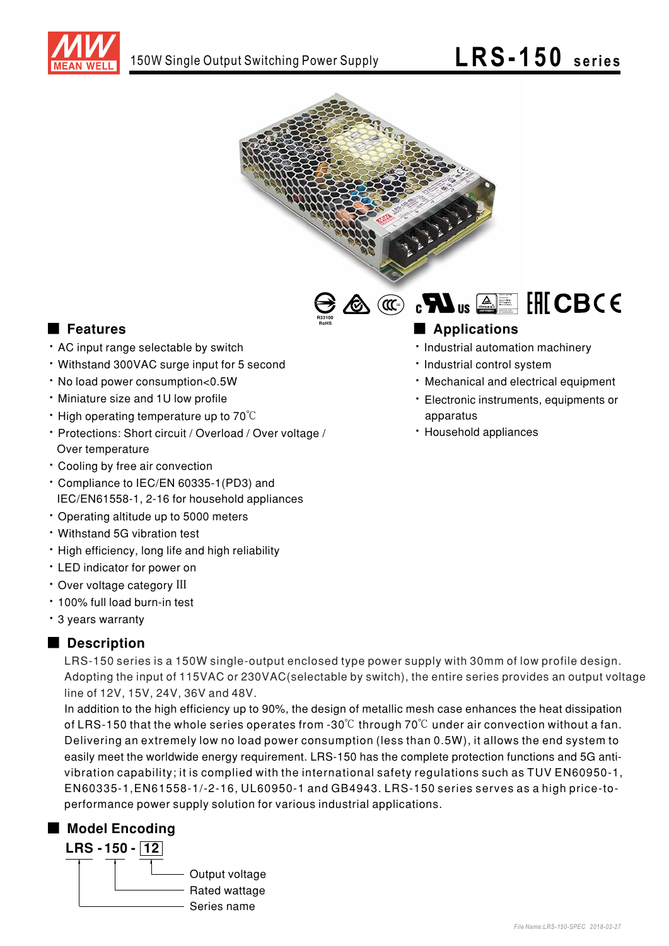



R33100 RoHS

### ■ Features ■ Ap

- . AC input range selectable by switch
- Withstand 300VAC surge input for 5 second
- · No load power consumption<0.5W
- Miniature size and 1U low profile
- High operating temperature up to 70°C
- Protections: Short circuit / Overload / Over voltage / Over temperature
- Cooling by free air convection
- Compliance to IEC/EN 60335-1 (PD3) and IEC/EN61558-1, 2-16 for household appliances
- \* Operating altitude up to 5000 meters
- Withstand 5G vibration test
- High efficiency, long life and high reliability
- LED indicator for power on
- Over voltage category III
- 100% full load burn-in test
- · 3 years warranty

#### ■ Description

LRS-150 series is a 150W single-output enclosed type power supply with 30mm of low profile design. Adopting the input of 115VAC or 230VAC(selectable by switch), the entire series provides an output voltage line of 12V, 15V, 24V, 36V and 48V.

easily meet the worldwide energy requirement. LRS-150 has the complete protection functions and 5G anti-In addition to the high efficiency up to 90%, the design of metallic mesh case enhances the heat dissipation of LRS-150 that the whole series operates from -30°C through 70°C under air convection without a fan. Delivering an extremely low no load power consumption (less than 0.5W), it allows the end system to , vibration capability; it is complied with the international safety regulations such as TUV EN60950-1 EN60335-1,EN61558-1/-2-16, UL60950-1 and GB4943. LRS-150 series serves as a high price-toperformance power supply solution for various industrial applications.

#### ■ Model Encoding



## 

- · Industrial automation machinery
- Industrial control system
- · Mechanical and electrical equipment
- Electronic instruments, equipments or apparatus
- · Household appliances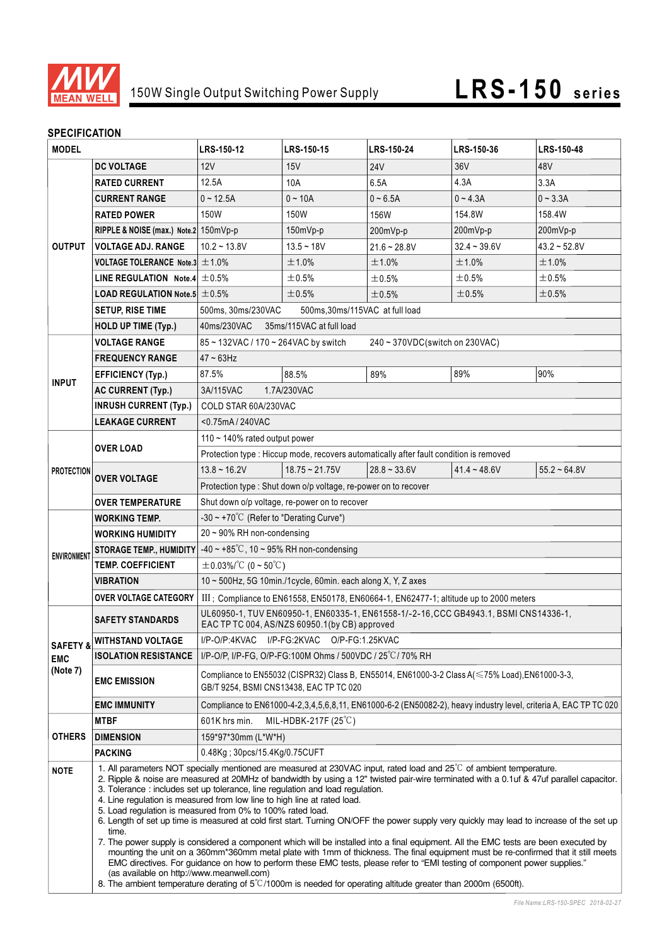

#### **SPECIFICATION**

| יוטו ועמיו ושם וט<br><b>MODEL</b> |                                                     | LRS-150-12                                                                                                                                                                                                                                                                                                                                                                                                                                                                                                                                                                                                                                                                                                                                                                                                                                                                                                                                                                                                                                                                                                                                                                                  | LRS-150-15             | LRS-150-24     | LRS-150-36     | LRS-150-48     |  |
|-----------------------------------|-----------------------------------------------------|---------------------------------------------------------------------------------------------------------------------------------------------------------------------------------------------------------------------------------------------------------------------------------------------------------------------------------------------------------------------------------------------------------------------------------------------------------------------------------------------------------------------------------------------------------------------------------------------------------------------------------------------------------------------------------------------------------------------------------------------------------------------------------------------------------------------------------------------------------------------------------------------------------------------------------------------------------------------------------------------------------------------------------------------------------------------------------------------------------------------------------------------------------------------------------------------|------------------------|----------------|----------------|----------------|--|
|                                   | <b>DC VOLTAGE</b>                                   | 12V                                                                                                                                                                                                                                                                                                                                                                                                                                                                                                                                                                                                                                                                                                                                                                                                                                                                                                                                                                                                                                                                                                                                                                                         | 15V                    | <b>24V</b>     | 36V            | 48V            |  |
| <b>OUTPUT</b>                     | <b>RATED CURRENT</b>                                | 12.5A                                                                                                                                                                                                                                                                                                                                                                                                                                                                                                                                                                                                                                                                                                                                                                                                                                                                                                                                                                                                                                                                                                                                                                                       | 10A                    | 6.5A           | 4.3A           | 3.3A           |  |
|                                   | <b>CURRENT RANGE</b>                                | $0 - 12.5A$                                                                                                                                                                                                                                                                                                                                                                                                                                                                                                                                                                                                                                                                                                                                                                                                                                                                                                                                                                                                                                                                                                                                                                                 | $0 - 10A$              | $0 - 6.5A$     | $0 - 4.3A$     | $0 - 3.3A$     |  |
|                                   | <b>RATED POWER</b>                                  | 150W                                                                                                                                                                                                                                                                                                                                                                                                                                                                                                                                                                                                                                                                                                                                                                                                                                                                                                                                                                                                                                                                                                                                                                                        | 150W                   | 156W           | 154.8W         | 158.4W         |  |
|                                   | RIPPLE & NOISE (max.) Note.2 150mVp-p               |                                                                                                                                                                                                                                                                                                                                                                                                                                                                                                                                                                                                                                                                                                                                                                                                                                                                                                                                                                                                                                                                                                                                                                                             | 150mVp-p               | 200mVp-p       | 200mVp-p       | 200mVp-p       |  |
|                                   | <b>VOLTAGE ADJ. RANGE</b>                           | $10.2 - 13.8V$                                                                                                                                                                                                                                                                                                                                                                                                                                                                                                                                                                                                                                                                                                                                                                                                                                                                                                                                                                                                                                                                                                                                                                              | $13.5 - 18V$           | $21.6 - 28.8V$ | $32.4 - 39.6V$ | $43.2 - 52.8V$ |  |
|                                   | VOLTAGE TOLERANCE Note.3 $\pm$ 1.0%                 |                                                                                                                                                                                                                                                                                                                                                                                                                                                                                                                                                                                                                                                                                                                                                                                                                                                                                                                                                                                                                                                                                                                                                                                             | ±1.0%                  | ±1.0%          | ±1.0%          | ±1.0%          |  |
|                                   | <b>LINE REGULATION</b> Note.4 $\pm$ 0.5%            |                                                                                                                                                                                                                                                                                                                                                                                                                                                                                                                                                                                                                                                                                                                                                                                                                                                                                                                                                                                                                                                                                                                                                                                             | ±0.5%                  | ±0.5%          | ±0.5%          | ±0.5%          |  |
|                                   | <b>LOAD REGULATION Note.5 <math>\pm</math> 0.5%</b> |                                                                                                                                                                                                                                                                                                                                                                                                                                                                                                                                                                                                                                                                                                                                                                                                                                                                                                                                                                                                                                                                                                                                                                                             | ±0.5%                  | ±0.5%          | ±0.5%          | ±0.5%          |  |
|                                   | <b>SETUP, RISE TIME</b>                             | 500ms, 30ms/230VAC<br>500ms, 30ms/115VAC at full load                                                                                                                                                                                                                                                                                                                                                                                                                                                                                                                                                                                                                                                                                                                                                                                                                                                                                                                                                                                                                                                                                                                                       |                        |                |                |                |  |
|                                   | <b>HOLD UP TIME (Typ.)</b>                          | 40ms/230VAC<br>35ms/115VAC at full load                                                                                                                                                                                                                                                                                                                                                                                                                                                                                                                                                                                                                                                                                                                                                                                                                                                                                                                                                                                                                                                                                                                                                     |                        |                |                |                |  |
|                                   | <b>VOLTAGE RANGE</b>                                | 85~132VAC / 170~264VAC by switch<br>240 ~ 370VDC(switch on 230VAC)                                                                                                                                                                                                                                                                                                                                                                                                                                                                                                                                                                                                                                                                                                                                                                                                                                                                                                                                                                                                                                                                                                                          |                        |                |                |                |  |
|                                   | <b>FREQUENCY RANGE</b>                              | $47 \sim 63$ Hz                                                                                                                                                                                                                                                                                                                                                                                                                                                                                                                                                                                                                                                                                                                                                                                                                                                                                                                                                                                                                                                                                                                                                                             |                        |                |                |                |  |
|                                   | <b>EFFICIENCY (Typ.)</b>                            | 87.5%                                                                                                                                                                                                                                                                                                                                                                                                                                                                                                                                                                                                                                                                                                                                                                                                                                                                                                                                                                                                                                                                                                                                                                                       | 88.5%                  | 89%            | 89%            | 90%            |  |
| <b>INPUT</b>                      | <b>AC CURRENT (Typ.)</b>                            | 3A/115VAC<br>1.7A/230VAC                                                                                                                                                                                                                                                                                                                                                                                                                                                                                                                                                                                                                                                                                                                                                                                                                                                                                                                                                                                                                                                                                                                                                                    |                        |                |                |                |  |
|                                   | <b>INRUSH CURRENT (Typ.)</b>                        | COLD STAR 60A/230VAC                                                                                                                                                                                                                                                                                                                                                                                                                                                                                                                                                                                                                                                                                                                                                                                                                                                                                                                                                                                                                                                                                                                                                                        |                        |                |                |                |  |
|                                   | <b>LEAKAGE CURRENT</b>                              | <0.75mA/240VAC                                                                                                                                                                                                                                                                                                                                                                                                                                                                                                                                                                                                                                                                                                                                                                                                                                                                                                                                                                                                                                                                                                                                                                              |                        |                |                |                |  |
|                                   |                                                     | 110 ~ 140% rated output power                                                                                                                                                                                                                                                                                                                                                                                                                                                                                                                                                                                                                                                                                                                                                                                                                                                                                                                                                                                                                                                                                                                                                               |                        |                |                |                |  |
|                                   | OVER LOAD                                           | Protection type : Hiccup mode, recovers automatically after fault condition is removed                                                                                                                                                                                                                                                                                                                                                                                                                                                                                                                                                                                                                                                                                                                                                                                                                                                                                                                                                                                                                                                                                                      |                        |                |                |                |  |
| <b>PROTECTION</b>                 | <b>OVER VOLTAGE</b>                                 | $13.8 \sim 16.2V$                                                                                                                                                                                                                                                                                                                                                                                                                                                                                                                                                                                                                                                                                                                                                                                                                                                                                                                                                                                                                                                                                                                                                                           | $18.75 \approx 21.75V$ | $28.8 - 33.6V$ | $41.4 - 48.6V$ | $55.2 - 64.8V$ |  |
|                                   |                                                     | Protection type: Shut down o/p voltage, re-power on to recover                                                                                                                                                                                                                                                                                                                                                                                                                                                                                                                                                                                                                                                                                                                                                                                                                                                                                                                                                                                                                                                                                                                              |                        |                |                |                |  |
|                                   | <b>OVER TEMPERATURE</b>                             | Shut down o/p voltage, re-power on to recover                                                                                                                                                                                                                                                                                                                                                                                                                                                                                                                                                                                                                                                                                                                                                                                                                                                                                                                                                                                                                                                                                                                                               |                        |                |                |                |  |
| <b>ENVIRONMENT</b>                | WORKING TEMP.                                       | $-30 \sim +70^{\circ}$ (Refer to "Derating Curve")                                                                                                                                                                                                                                                                                                                                                                                                                                                                                                                                                                                                                                                                                                                                                                                                                                                                                                                                                                                                                                                                                                                                          |                        |                |                |                |  |
|                                   | <b>WORKING HUMIDITY</b>                             | $20 \sim 90\%$ RH non-condensing                                                                                                                                                                                                                                                                                                                                                                                                                                                                                                                                                                                                                                                                                                                                                                                                                                                                                                                                                                                                                                                                                                                                                            |                        |                |                |                |  |
|                                   | <b>STORAGE TEMP., HUMIDITY</b>                      | $-40 \sim +85^{\circ}$ C, 10 ~ 95% RH non-condensing                                                                                                                                                                                                                                                                                                                                                                                                                                                                                                                                                                                                                                                                                                                                                                                                                                                                                                                                                                                                                                                                                                                                        |                        |                |                |                |  |
|                                   | <b>TEMP. COEFFICIENT</b>                            | $\pm$ 0.03%/°C (0 ~ 50°C)                                                                                                                                                                                                                                                                                                                                                                                                                                                                                                                                                                                                                                                                                                                                                                                                                                                                                                                                                                                                                                                                                                                                                                   |                        |                |                |                |  |
|                                   | <b>VIBRATION</b>                                    | 10 ~ 500Hz, 5G 10min./1cycle, 60min. each along X, Y, Z axes                                                                                                                                                                                                                                                                                                                                                                                                                                                                                                                                                                                                                                                                                                                                                                                                                                                                                                                                                                                                                                                                                                                                |                        |                |                |                |  |
|                                   | <b>OVER VOLTAGE CATEGORY</b>                        | III ; Compliance to EN61558, EN50178, EN60664-1, EN62477-1; altitude up to 2000 meters                                                                                                                                                                                                                                                                                                                                                                                                                                                                                                                                                                                                                                                                                                                                                                                                                                                                                                                                                                                                                                                                                                      |                        |                |                |                |  |
| SAFETY &                          | <b>SAFETY STANDARDS</b>                             | UL60950-1, TUV EN60950-1, EN60335-1, EN61558-1/-2-16, CCC GB4943.1, BSMI CNS14336-1,<br>EAC TP TC 004, AS/NZS 60950.1(by CB) approved                                                                                                                                                                                                                                                                                                                                                                                                                                                                                                                                                                                                                                                                                                                                                                                                                                                                                                                                                                                                                                                       |                        |                |                |                |  |
|                                   | <b>WITHSTAND VOLTAGE</b>                            | I/P-O/P:4KVAC I/P-FG:2KVAC O/P-FG:1.25KVAC                                                                                                                                                                                                                                                                                                                                                                                                                                                                                                                                                                                                                                                                                                                                                                                                                                                                                                                                                                                                                                                                                                                                                  |                        |                |                |                |  |
| <b>EMC</b>                        | <b>ISOLATION RESISTANCE</b>                         | I/P-O/P, I/P-FG, O/P-FG:100M Ohms / 500VDC / 25°C/70% RH                                                                                                                                                                                                                                                                                                                                                                                                                                                                                                                                                                                                                                                                                                                                                                                                                                                                                                                                                                                                                                                                                                                                    |                        |                |                |                |  |
| (Note 7)                          | <b>EMC EMISSION</b>                                 | Compliance to EN55032 (CISPR32) Class B, EN55014, EN61000-3-2 Class A(≤75% Load),EN61000-3-3,<br>GB/T 9254, BSMI CNS13438, EAC TP TC 020                                                                                                                                                                                                                                                                                                                                                                                                                                                                                                                                                                                                                                                                                                                                                                                                                                                                                                                                                                                                                                                    |                        |                |                |                |  |
|                                   | <b>EMC IMMUNITY</b>                                 | Compliance to EN61000-4-2,3,4,5,6,8,11, EN61000-6-2 (EN50082-2), heavy industry level, criteria A, EAC TP TC 020                                                                                                                                                                                                                                                                                                                                                                                                                                                                                                                                                                                                                                                                                                                                                                                                                                                                                                                                                                                                                                                                            |                        |                |                |                |  |
| <b>OTHERS</b>                     | <b>MTBF</b>                                         | MIL-HDBK-217F $(25^{\circ}C)$<br>601K hrs min.                                                                                                                                                                                                                                                                                                                                                                                                                                                                                                                                                                                                                                                                                                                                                                                                                                                                                                                                                                                                                                                                                                                                              |                        |                |                |                |  |
|                                   | <b>DIMENSION</b>                                    | 159*97*30mm (L*W*H)                                                                                                                                                                                                                                                                                                                                                                                                                                                                                                                                                                                                                                                                                                                                                                                                                                                                                                                                                                                                                                                                                                                                                                         |                        |                |                |                |  |
|                                   | <b>PACKING</b>                                      | 0.48Kg; 30pcs/15.4Kg/0.75CUFT                                                                                                                                                                                                                                                                                                                                                                                                                                                                                                                                                                                                                                                                                                                                                                                                                                                                                                                                                                                                                                                                                                                                                               |                        |                |                |                |  |
| <b>NOTE</b>                       | time.<br>(as available on http://www.meanwell.com)  | 1. All parameters NOT specially mentioned are measured at 230VAC input, rated load and 25 <sup>°</sup> C of ambient temperature.<br>2. Ripple & noise are measured at 20MHz of bandwidth by using a 12" twisted pair-wire terminated with a 0.1uf & 47uf parallel capacitor.<br>3. Tolerance: includes set up tolerance, line regulation and load regulation.<br>4. Line regulation is measured from low line to high line at rated load.<br>5. Load regulation is measured from 0% to 100% rated load.<br>6. Length of set up time is measured at cold first start. Turning ON/OFF the power supply very quickly may lead to increase of the set up<br>7. The power supply is considered a component which will be installed into a final equipment. All the EMC tests are been executed by<br>mounting the unit on a 360mm*360mm metal plate with 1mm of thickness. The final equipment must be re-confirmed that it still meets<br>EMC directives. For guidance on how to perform these EMC tests, please refer to "EMI testing of component power supplies."<br>8. The ambient temperature derating of $5^{\circ}$ /1000m is needed for operating altitude greater than 2000m (6500ft). |                        |                |                |                |  |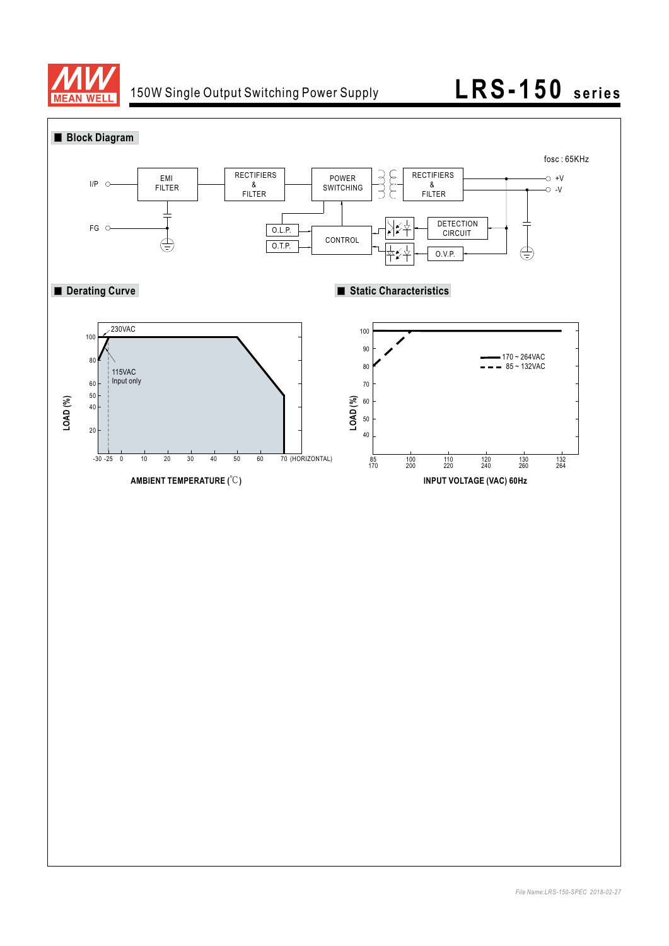

# 150W Single Output Switching Power Supply **LRS-150 series**